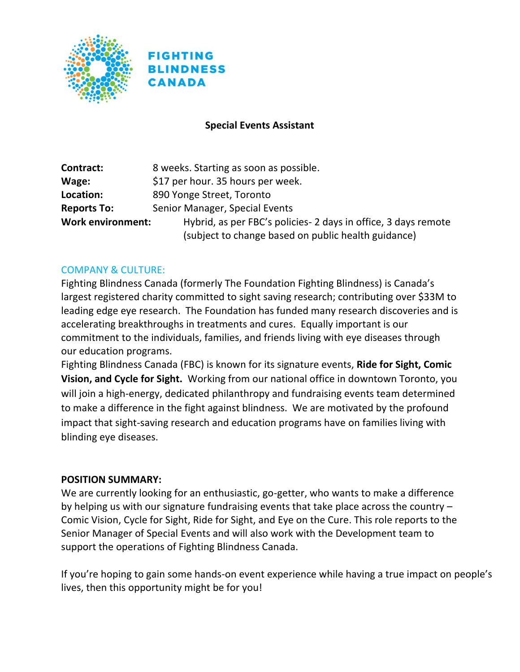



### **Special Events Assistant**

| Contract:                | 8 weeks. Starting as soon as possible.                          |
|--------------------------|-----------------------------------------------------------------|
| Wage:                    | \$17 per hour. 35 hours per week.                               |
| Location:                | 890 Yonge Street, Toronto                                       |
| <b>Reports To:</b>       | Senior Manager, Special Events                                  |
| <b>Work environment:</b> | Hybrid, as per FBC's policies - 2 days in office, 3 days remote |
|                          | (subject to change based on public health guidance)             |

#### COMPANY & CULTURE:

Fighting Blindness Canada (formerly The Foundation Fighting Blindness) is Canada's largest registered charity committed to sight saving research; contributing over \$33M to leading edge eye research. The Foundation has funded many research discoveries and is accelerating breakthroughs in treatments and cures. Equally important is our commitment to the individuals, families, and friends living with eye diseases through our education programs.

Fighting Blindness Canada (FBC) is known for its signature events, **Ride for Sight, Comic Vision, and Cycle for Sight.** Working from our national office in downtown Toronto, you will join a high-energy, dedicated philanthropy and fundraising events team determined to make a difference in the fight against blindness. We are motivated by the profound impact that sight-saving research and education programs have on families living with blinding eye diseases.

#### **POSITION SUMMARY:**

We are currently looking for an enthusiastic, go-getter, who wants to make a difference by helping us with our signature fundraising events that take place across the country – Comic Vision, Cycle for Sight, Ride for Sight, and Eye on the Cure. This role reports to the Senior Manager of Special Events and will also work with the Development team to support the operations of Fighting Blindness Canada.

If you're hoping to gain some hands-on event experience while having a true impact on people's lives, then this opportunity might be for you!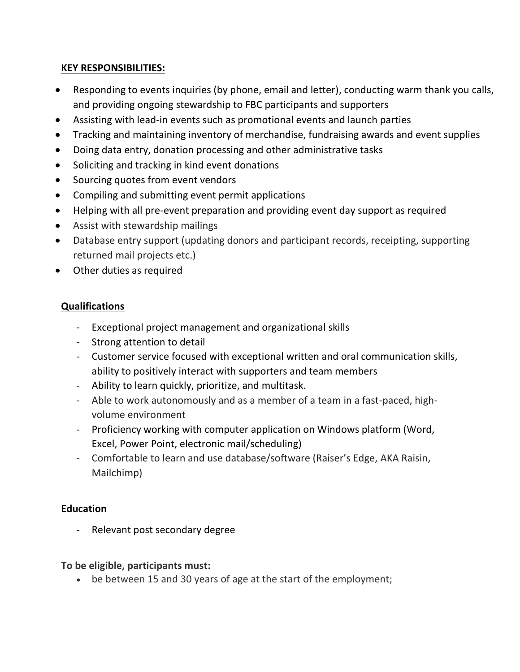### **KEY RESPONSIBILITIES:**

- Responding to events inquiries (by phone, email and letter), conducting warm thank you calls, and providing ongoing stewardship to FBC participants and supporters
- Assisting with lead-in events such as promotional events and launch parties
- Tracking and maintaining inventory of merchandise, fundraising awards and event supplies
- Doing data entry, donation processing and other administrative tasks
- Soliciting and tracking in kind event donations
- Sourcing quotes from event vendors
- Compiling and submitting event permit applications
- Helping with all pre-event preparation and providing event day support as required
- Assist with stewardship mailings
- Database entry support (updating donors and participant records, receipting, supporting returned mail projects etc.)
- Other duties as required

# **Qualifications**

- Exceptional project management and organizational skills
- Strong attention to detail
- Customer service focused with exceptional written and oral communication skills, ability to positively interact with supporters and team members
- Ability to learn quickly, prioritize, and multitask.
- Able to work autonomously and as a member of a team in a fast-paced, highvolume environment
- Proficiency working with computer application on Windows platform (Word, Excel, Power Point, electronic mail/scheduling)
- Comfortable to learn and use database/software (Raiser's Edge, AKA Raisin, Mailchimp)

# **Education**

- Relevant post secondary degree

## **To be eligible, participants must:**

• be between 15 and 30 years of age at the start of the employment;